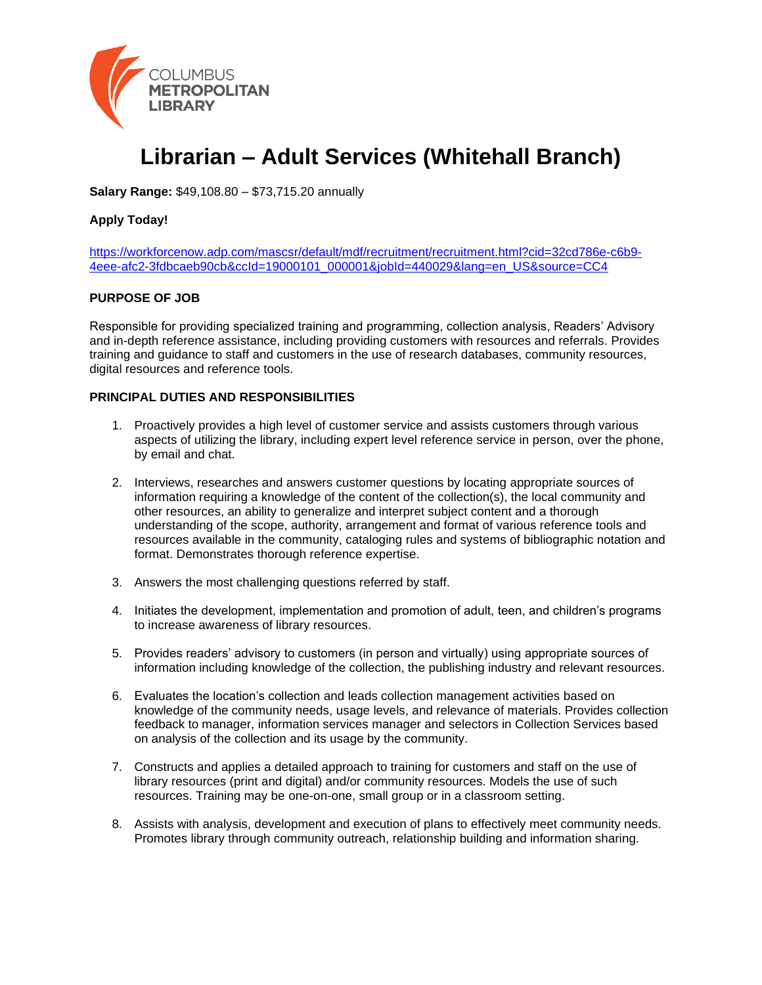

# **Librarian – Adult Services (Whitehall Branch)**

**Salary Range:** \$49,108.80 – \$73,715.20 annually

# **Apply Today!**

[https://workforcenow.adp.com/mascsr/default/mdf/recruitment/recruitment.html?cid=32cd786e-c6b9-](https://workforcenow.adp.com/mascsr/default/mdf/recruitment/recruitment.html?cid=32cd786e-c6b9-4eee-afc2-3fdbcaeb90cb&ccId=19000101_000001&jobId=440029&lang=en_US&source=CC4) [4eee-afc2-3fdbcaeb90cb&ccId=19000101\\_000001&jobId=440029&lang=en\\_US&source=CC4](https://workforcenow.adp.com/mascsr/default/mdf/recruitment/recruitment.html?cid=32cd786e-c6b9-4eee-afc2-3fdbcaeb90cb&ccId=19000101_000001&jobId=440029&lang=en_US&source=CC4)

#### **PURPOSE OF JOB**

Responsible for providing specialized training and programming, collection analysis, Readers' Advisory and in-depth reference assistance, including providing customers with resources and referrals. Provides training and guidance to staff and customers in the use of research databases, community resources, digital resources and reference tools.

## **PRINCIPAL DUTIES AND RESPONSIBILITIES**

- 1. Proactively provides a high level of customer service and assists customers through various aspects of utilizing the library, including expert level reference service in person, over the phone, by email and chat.
- 2. Interviews, researches and answers customer questions by locating appropriate sources of information requiring a knowledge of the content of the collection(s), the local community and other resources, an ability to generalize and interpret subject content and a thorough understanding of the scope, authority, arrangement and format of various reference tools and resources available in the community, cataloging rules and systems of bibliographic notation and format. Demonstrates thorough reference expertise.
- 3. Answers the most challenging questions referred by staff.
- 4. Initiates the development, implementation and promotion of adult, teen, and children's programs to increase awareness of library resources.
- 5. Provides readers' advisory to customers (in person and virtually) using appropriate sources of information including knowledge of the collection, the publishing industry and relevant resources.
- 6. Evaluates the location's collection and leads collection management activities based on knowledge of the community needs, usage levels, and relevance of materials. Provides collection feedback to manager, information services manager and selectors in Collection Services based on analysis of the collection and its usage by the community.
- 7. Constructs and applies a detailed approach to training for customers and staff on the use of library resources (print and digital) and/or community resources. Models the use of such resources. Training may be one-on-one, small group or in a classroom setting.
- 8. Assists with analysis, development and execution of plans to effectively meet community needs. Promotes library through community outreach, relationship building and information sharing.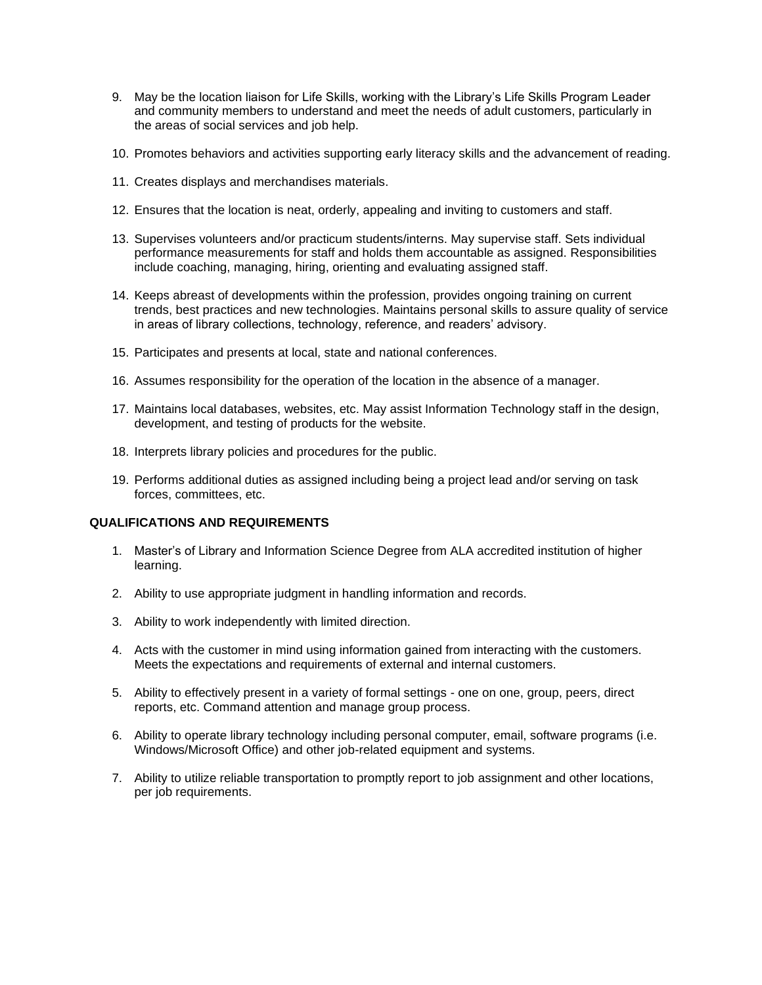- 9. May be the location liaison for Life Skills, working with the Library's Life Skills Program Leader and community members to understand and meet the needs of adult customers, particularly in the areas of social services and job help.
- 10. Promotes behaviors and activities supporting early literacy skills and the advancement of reading.
- 11. Creates displays and merchandises materials.
- 12. Ensures that the location is neat, orderly, appealing and inviting to customers and staff.
- 13. Supervises volunteers and/or practicum students/interns. May supervise staff. Sets individual performance measurements for staff and holds them accountable as assigned. Responsibilities include coaching, managing, hiring, orienting and evaluating assigned staff.
- 14. Keeps abreast of developments within the profession, provides ongoing training on current trends, best practices and new technologies. Maintains personal skills to assure quality of service in areas of library collections, technology, reference, and readers' advisory.
- 15. Participates and presents at local, state and national conferences.
- 16. Assumes responsibility for the operation of the location in the absence of a manager.
- 17. Maintains local databases, websites, etc. May assist Information Technology staff in the design, development, and testing of products for the website.
- 18. Interprets library policies and procedures for the public.
- 19. Performs additional duties as assigned including being a project lead and/or serving on task forces, committees, etc.

#### **QUALIFICATIONS AND REQUIREMENTS**

- 1. Master's of Library and Information Science Degree from ALA accredited institution of higher learning.
- 2. Ability to use appropriate judgment in handling information and records.
- 3. Ability to work independently with limited direction.
- 4. Acts with the customer in mind using information gained from interacting with the customers. Meets the expectations and requirements of external and internal customers.
- 5. Ability to effectively present in a variety of formal settings one on one, group, peers, direct reports, etc. Command attention and manage group process.
- 6. Ability to operate library technology including personal computer, email, software programs (i.e. Windows/Microsoft Office) and other job-related equipment and systems.
- 7. Ability to utilize reliable transportation to promptly report to job assignment and other locations, per job requirements.